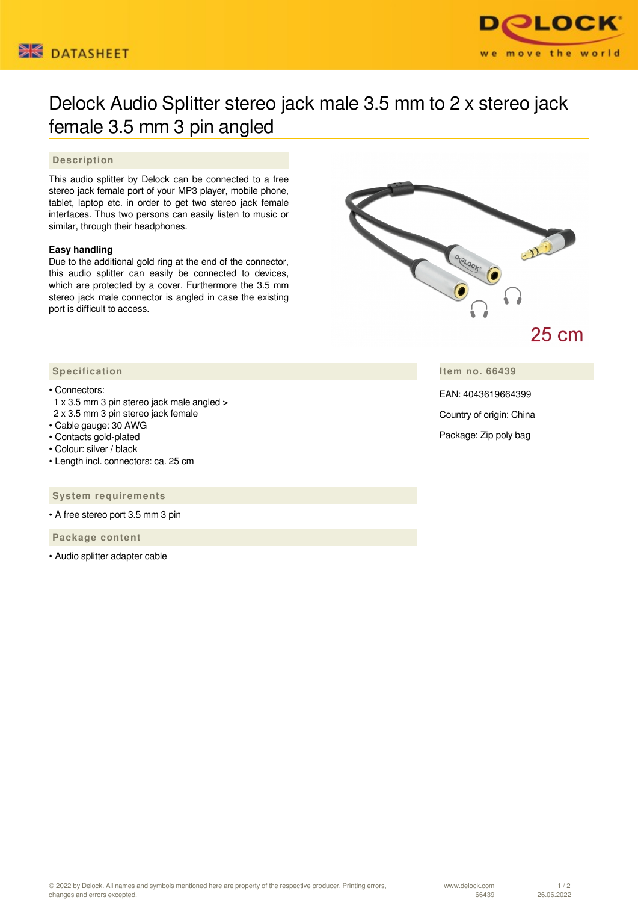



# Delock Audio Splitter stereo jack male 3.5 mm to 2 x stereo jack female 3.5 mm 3 pin angled

# **Description**

This audio splitter by Delock can be connected to a free stereo jack female port of your MP3 player, mobile phone, tablet, laptop etc. in order to get two stereo jack female interfaces. Thus two persons can easily listen to music or similar, through their headphones.

# **Easy handling**

Due to the additional gold ring at the end of the connector, this audio splitter can easily be connected to devices, which are protected by a cover. Furthermore the 3.5 mm stereo jack male connector is angled in case the existing port is difficult to access.



25 cm

**Item no. 66439**

EAN: 4043619664399

Country of origin: China

Package: Zip poly bag

## **Specification**

### • Connectors:

- 1 x 3.5 mm 3 pin stereo jack male angled >
- 2 x 3.5 mm 3 pin stereo jack female
- Cable gauge: 30 AWG
- Contacts gold-plated
- Colour: silver / black
- Length incl. connectors: ca. 25 cm

#### **System requirements**

• A free stereo port 3.5 mm 3 pin

 **Package content**

• Audio splitter adapter cable